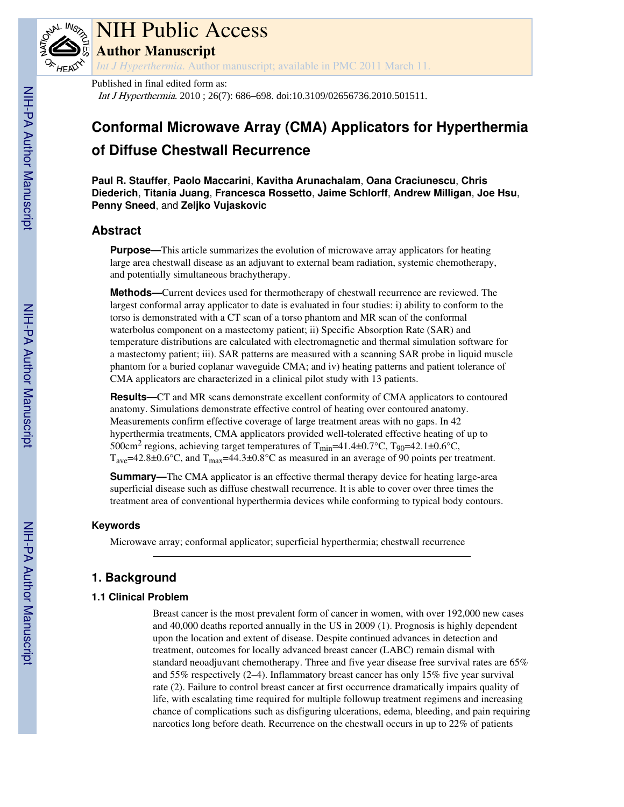

# NIH Public Access **Author Manuscript**

*Int J Hyperthermia*. Author manuscript; available in PMC 2011 March 11.

Published in final edited form as: Int J Hyperthermia. 2010 ; 26(7): 686–698. doi:10.3109/02656736.2010.501511.

# **Conformal Microwave Array (CMA) Applicators for Hyperthermia of Diffuse Chestwall Recurrence**

**Paul R. Stauffer**, **Paolo Maccarini**, **Kavitha Arunachalam**, **Oana Craciunescu**, **Chris Diederich**, **Titania Juang**, **Francesca Rossetto**, **Jaime Schlorff**, **Andrew Milligan**, **Joe Hsu**, **Penny Sneed**, and **Zeljko Vujaskovic**

# **Abstract**

**Purpose—**This article summarizes the evolution of microwave array applicators for heating large area chestwall disease as an adjuvant to external beam radiation, systemic chemotherapy, and potentially simultaneous brachytherapy.

**Methods—**Current devices used for thermotherapy of chestwall recurrence are reviewed. The largest conformal array applicator to date is evaluated in four studies: i) ability to conform to the torso is demonstrated with a CT scan of a torso phantom and MR scan of the conformal waterbolus component on a mastectomy patient; ii) Specific Absorption Rate (SAR) and temperature distributions are calculated with electromagnetic and thermal simulation software for a mastectomy patient; iii). SAR patterns are measured with a scanning SAR probe in liquid muscle phantom for a buried coplanar waveguide CMA; and iv) heating patterns and patient tolerance of CMA applicators are characterized in a clinical pilot study with 13 patients.

**Results—**CT and MR scans demonstrate excellent conformity of CMA applicators to contoured anatomy. Simulations demonstrate effective control of heating over contoured anatomy. Measurements confirm effective coverage of large treatment areas with no gaps. In 42 hyperthermia treatments, CMA applicators provided well-tolerated effective heating of up to 500cm<sup>2</sup> regions, achieving target temperatures of T<sub>min</sub>=41.4±0.7°C, T<sub>90</sub>=42.1±0.6°C,  $T_{\text{ave}}$ =42.8±0.6°C, and  $T_{\text{max}}$ =44.3±0.8°C as measured in an average of 90 points per treatment.

**Summary—**The CMA applicator is an effective thermal therapy device for heating large-area superficial disease such as diffuse chestwall recurrence. It is able to cover over three times the treatment area of conventional hyperthermia devices while conforming to typical body contours.

## **Keywords**

Microwave array; conformal applicator; superficial hyperthermia; chestwall recurrence

# **1. Background**

## **1.1 Clinical Problem**

Breast cancer is the most prevalent form of cancer in women, with over 192,000 new cases and 40,000 deaths reported annually in the US in 2009 (1). Prognosis is highly dependent upon the location and extent of disease. Despite continued advances in detection and treatment, outcomes for locally advanced breast cancer (LABC) remain dismal with standard neoadjuvant chemotherapy. Three and five year disease free survival rates are 65% and 55% respectively (2–4). Inflammatory breast cancer has only 15% five year survival rate (2). Failure to control breast cancer at first occurrence dramatically impairs quality of life, with escalating time required for multiple followup treatment regimens and increasing chance of complications such as disfiguring ulcerations, edema, bleeding, and pain requiring narcotics long before death. Recurrence on the chestwall occurs in up to 22% of patients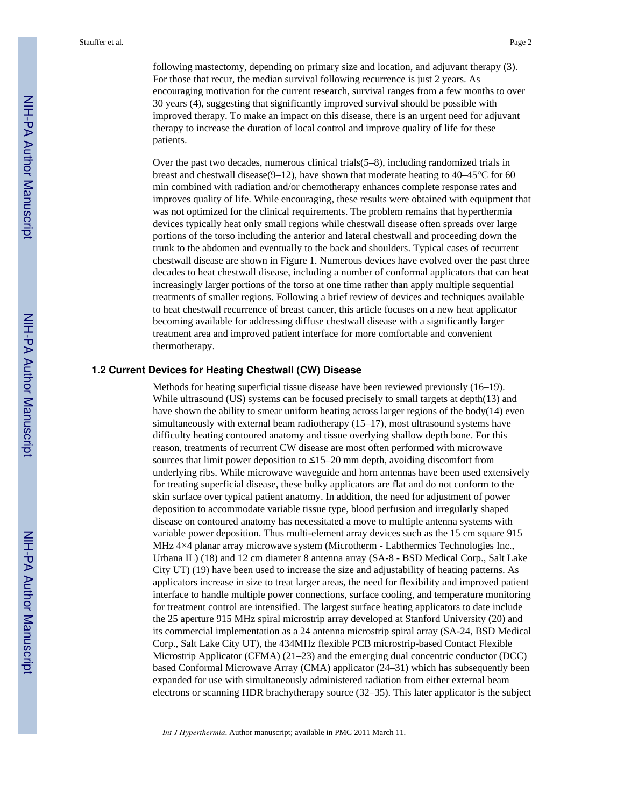following mastectomy, depending on primary size and location, and adjuvant therapy (3). For those that recur, the median survival following recurrence is just 2 years. As encouraging motivation for the current research, survival ranges from a few months to over 30 years (4), suggesting that significantly improved survival should be possible with improved therapy. To make an impact on this disease, there is an urgent need for adjuvant therapy to increase the duration of local control and improve quality of life for these patients.

Over the past two decades, numerous clinical trials(5–8), including randomized trials in breast and chestwall disease(9–12), have shown that moderate heating to 40–45 $^{\circ}$ C for 60 min combined with radiation and/or chemotherapy enhances complete response rates and improves quality of life. While encouraging, these results were obtained with equipment that was not optimized for the clinical requirements. The problem remains that hyperthermia devices typically heat only small regions while chestwall disease often spreads over large portions of the torso including the anterior and lateral chestwall and proceeding down the trunk to the abdomen and eventually to the back and shoulders. Typical cases of recurrent chestwall disease are shown in Figure 1. Numerous devices have evolved over the past three decades to heat chestwall disease, including a number of conformal applicators that can heat increasingly larger portions of the torso at one time rather than apply multiple sequential treatments of smaller regions. Following a brief review of devices and techniques available to heat chestwall recurrence of breast cancer, this article focuses on a new heat applicator becoming available for addressing diffuse chestwall disease with a significantly larger treatment area and improved patient interface for more comfortable and convenient thermotherapy.

#### **1.2 Current Devices for Heating Chestwall (CW) Disease**

Methods for heating superficial tissue disease have been reviewed previously (16–19). While ultrasound (US) systems can be focused precisely to small targets at depth(13) and have shown the ability to smear uniform heating across larger regions of the body( $14$ ) even simultaneously with external beam radiotherapy (15–17), most ultrasound systems have difficulty heating contoured anatomy and tissue overlying shallow depth bone. For this reason, treatments of recurrent CW disease are most often performed with microwave sources that limit power deposition to  $\leq 15-20$  mm depth, avoiding discomfort from underlying ribs. While microwave waveguide and horn antennas have been used extensively for treating superficial disease, these bulky applicators are flat and do not conform to the skin surface over typical patient anatomy. In addition, the need for adjustment of power deposition to accommodate variable tissue type, blood perfusion and irregularly shaped disease on contoured anatomy has necessitated a move to multiple antenna systems with variable power deposition. Thus multi-element array devices such as the 15 cm square 915 MHz 4×4 planar array microwave system (Microtherm - Labthermics Technologies Inc., Urbana IL) (18) and 12 cm diameter 8 antenna array (SA-8 - BSD Medical Corp., Salt Lake City UT) (19) have been used to increase the size and adjustability of heating patterns. As applicators increase in size to treat larger areas, the need for flexibility and improved patient interface to handle multiple power connections, surface cooling, and temperature monitoring for treatment control are intensified. The largest surface heating applicators to date include the 25 aperture 915 MHz spiral microstrip array developed at Stanford University (20) and its commercial implementation as a 24 antenna microstrip spiral array (SA-24, BSD Medical Corp., Salt Lake City UT), the 434MHz flexible PCB microstrip-based Contact Flexible Microstrip Applicator (CFMA) (21–23) and the emerging dual concentric conductor (DCC) based Conformal Microwave Array (CMA) applicator (24–31) which has subsequently been expanded for use with simultaneously administered radiation from either external beam electrons or scanning HDR brachytherapy source (32–35). This later applicator is the subject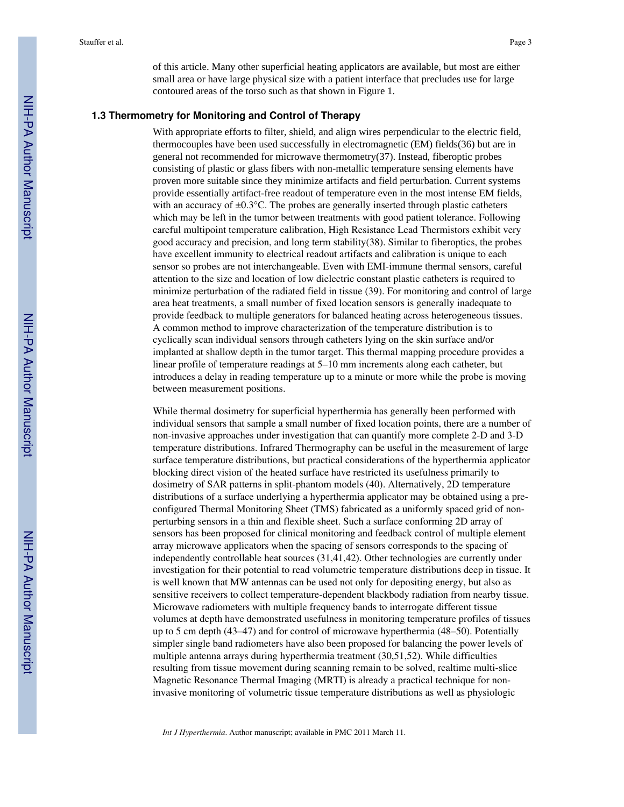of this article. Many other superficial heating applicators are available, but most are either small area or have large physical size with a patient interface that precludes use for large contoured areas of the torso such as that shown in Figure 1.

#### **1.3 Thermometry for Monitoring and Control of Therapy**

With appropriate efforts to filter, shield, and align wires perpendicular to the electric field, thermocouples have been used successfully in electromagnetic (EM) fields(36) but are in general not recommended for microwave thermometry(37). Instead, fiberoptic probes consisting of plastic or glass fibers with non-metallic temperature sensing elements have proven more suitable since they minimize artifacts and field perturbation. Current systems provide essentially artifact-free readout of temperature even in the most intense EM fields, with an accuracy of  $\pm 0.3^{\circ}$ C. The probes are generally inserted through plastic catheters which may be left in the tumor between treatments with good patient tolerance. Following careful multipoint temperature calibration, High Resistance Lead Thermistors exhibit very good accuracy and precision, and long term stability(38). Similar to fiberoptics, the probes have excellent immunity to electrical readout artifacts and calibration is unique to each sensor so probes are not interchangeable. Even with EMI-immune thermal sensors, careful attention to the size and location of low dielectric constant plastic catheters is required to minimize perturbation of the radiated field in tissue (39). For monitoring and control of large area heat treatments, a small number of fixed location sensors is generally inadequate to provide feedback to multiple generators for balanced heating across heterogeneous tissues. A common method to improve characterization of the temperature distribution is to cyclically scan individual sensors through catheters lying on the skin surface and/or implanted at shallow depth in the tumor target. This thermal mapping procedure provides a linear profile of temperature readings at 5–10 mm increments along each catheter, but introduces a delay in reading temperature up to a minute or more while the probe is moving between measurement positions.

While thermal dosimetry for superficial hyperthermia has generally been performed with individual sensors that sample a small number of fixed location points, there are a number of non-invasive approaches under investigation that can quantify more complete 2-D and 3-D temperature distributions. Infrared Thermography can be useful in the measurement of large surface temperature distributions, but practical considerations of the hyperthermia applicator blocking direct vision of the heated surface have restricted its usefulness primarily to dosimetry of SAR patterns in split-phantom models (40). Alternatively, 2D temperature distributions of a surface underlying a hyperthermia applicator may be obtained using a preconfigured Thermal Monitoring Sheet (TMS) fabricated as a uniformly spaced grid of nonperturbing sensors in a thin and flexible sheet. Such a surface conforming 2D array of sensors has been proposed for clinical monitoring and feedback control of multiple element array microwave applicators when the spacing of sensors corresponds to the spacing of independently controllable heat sources (31,41,42). Other technologies are currently under investigation for their potential to read volumetric temperature distributions deep in tissue. It is well known that MW antennas can be used not only for depositing energy, but also as sensitive receivers to collect temperature-dependent blackbody radiation from nearby tissue. Microwave radiometers with multiple frequency bands to interrogate different tissue volumes at depth have demonstrated usefulness in monitoring temperature profiles of tissues up to 5 cm depth (43–47) and for control of microwave hyperthermia (48–50). Potentially simpler single band radiometers have also been proposed for balancing the power levels of multiple antenna arrays during hyperthermia treatment (30,51,52). While difficulties resulting from tissue movement during scanning remain to be solved, realtime multi-slice Magnetic Resonance Thermal Imaging (MRTI) is already a practical technique for noninvasive monitoring of volumetric tissue temperature distributions as well as physiologic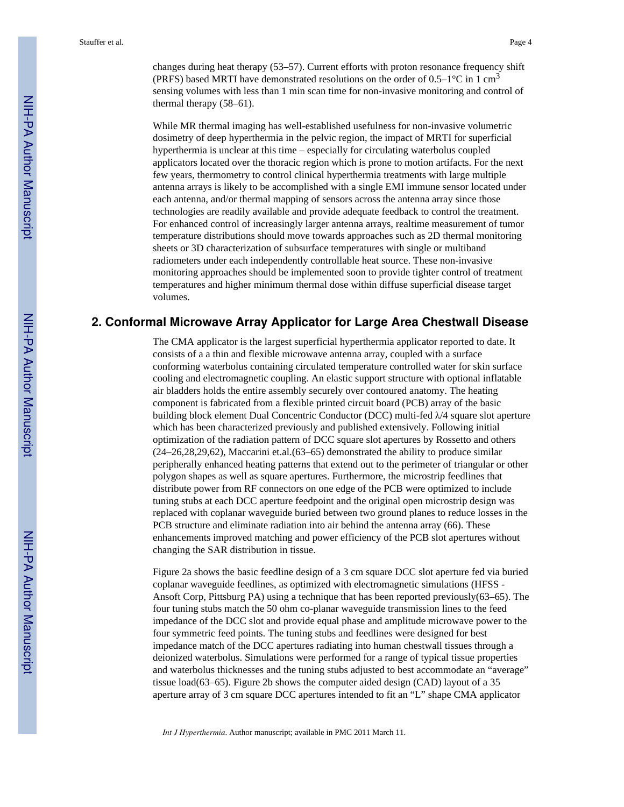changes during heat therapy (53–57). Current efforts with proton resonance frequency shift (PRFS) based MRTI have demonstrated resolutions on the order of  $0.5-1$ °C in 1 cm<sup>3</sup> sensing volumes with less than 1 min scan time for non-invasive monitoring and control of thermal therapy (58–61).

While MR thermal imaging has well-established usefulness for non-invasive volumetric dosimetry of deep hyperthermia in the pelvic region, the impact of MRTI for superficial hyperthermia is unclear at this time – especially for circulating waterbolus coupled applicators located over the thoracic region which is prone to motion artifacts. For the next few years, thermometry to control clinical hyperthermia treatments with large multiple antenna arrays is likely to be accomplished with a single EMI immune sensor located under each antenna, and/or thermal mapping of sensors across the antenna array since those technologies are readily available and provide adequate feedback to control the treatment. For enhanced control of increasingly larger antenna arrays, realtime measurement of tumor temperature distributions should move towards approaches such as 2D thermal monitoring sheets or 3D characterization of subsurface temperatures with single or multiband radiometers under each independently controllable heat source. These non-invasive monitoring approaches should be implemented soon to provide tighter control of treatment temperatures and higher minimum thermal dose within diffuse superficial disease target volumes.

# **2. Conformal Microwave Array Applicator for Large Area Chestwall Disease**

The CMA applicator is the largest superficial hyperthermia applicator reported to date. It consists of a a thin and flexible microwave antenna array, coupled with a surface conforming waterbolus containing circulated temperature controlled water for skin surface cooling and electromagnetic coupling. An elastic support structure with optional inflatable air bladders holds the entire assembly securely over contoured anatomy. The heating component is fabricated from a flexible printed circuit board (PCB) array of the basic building block element Dual Concentric Conductor (DCC) multi-fed  $\lambda/4$  square slot aperture which has been characterized previously and published extensively. Following initial optimization of the radiation pattern of DCC square slot apertures by Rossetto and others (24–26,28,29,62), Maccarini et.al.(63–65) demonstrated the ability to produce similar peripherally enhanced heating patterns that extend out to the perimeter of triangular or other polygon shapes as well as square apertures. Furthermore, the microstrip feedlines that distribute power from RF connectors on one edge of the PCB were optimized to include tuning stubs at each DCC aperture feedpoint and the original open microstrip design was replaced with coplanar waveguide buried between two ground planes to reduce losses in the PCB structure and eliminate radiation into air behind the antenna array (66). These enhancements improved matching and power efficiency of the PCB slot apertures without changing the SAR distribution in tissue.

Figure 2a shows the basic feedline design of a 3 cm square DCC slot aperture fed via buried coplanar waveguide feedlines, as optimized with electromagnetic simulations (HFSS - Ansoft Corp, Pittsburg PA) using a technique that has been reported previously(63–65). The four tuning stubs match the 50 ohm co-planar waveguide transmission lines to the feed impedance of the DCC slot and provide equal phase and amplitude microwave power to the four symmetric feed points. The tuning stubs and feedlines were designed for best impedance match of the DCC apertures radiating into human chestwall tissues through a deionized waterbolus. Simulations were performed for a range of typical tissue properties and waterbolus thicknesses and the tuning stubs adjusted to best accommodate an "average" tissue load(63–65). Figure 2b shows the computer aided design (CAD) layout of a 35 aperture array of 3 cm square DCC apertures intended to fit an "L" shape CMA applicator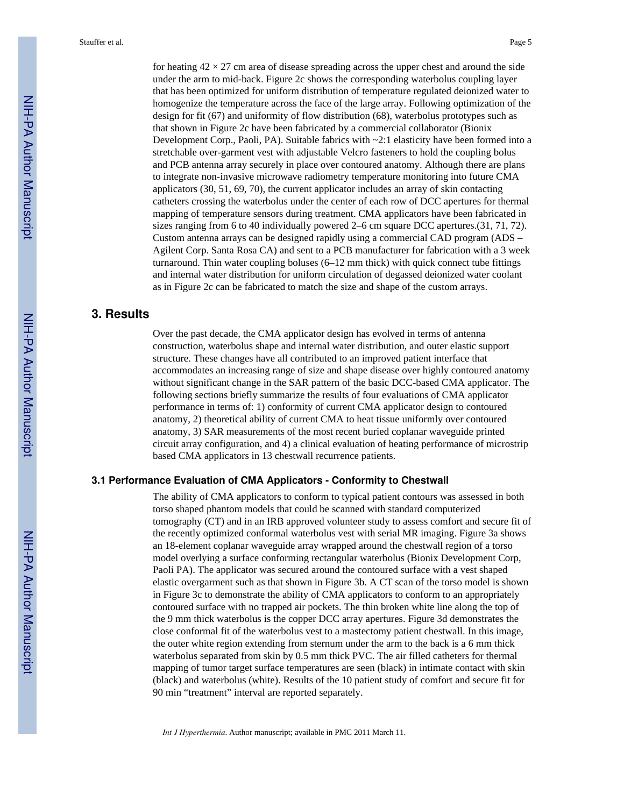for heating  $42 \times 27$  cm area of disease spreading across the upper chest and around the side under the arm to mid-back. Figure 2c shows the corresponding waterbolus coupling layer that has been optimized for uniform distribution of temperature regulated deionized water to homogenize the temperature across the face of the large array. Following optimization of the design for fit (67) and uniformity of flow distribution (68), waterbolus prototypes such as that shown in Figure 2c have been fabricated by a commercial collaborator (Bionix Development Corp., Paoli, PA). Suitable fabrics with ~2:1 elasticity have been formed into a stretchable over-garment vest with adjustable Velcro fasteners to hold the coupling bolus and PCB antenna array securely in place over contoured anatomy. Although there are plans to integrate non-invasive microwave radiometry temperature monitoring into future CMA applicators (30, 51, 69, 70), the current applicator includes an array of skin contacting catheters crossing the waterbolus under the center of each row of DCC apertures for thermal mapping of temperature sensors during treatment. CMA applicators have been fabricated in sizes ranging from 6 to 40 individually powered 2–6 cm square DCC apertures.(31, 71, 72). Custom antenna arrays can be designed rapidly using a commercial CAD program (ADS – Agilent Corp. Santa Rosa CA) and sent to a PCB manufacturer for fabrication with a 3 week turnaround. Thin water coupling boluses (6–12 mm thick) with quick connect tube fittings and internal water distribution for uniform circulation of degassed deionized water coolant as in Figure 2c can be fabricated to match the size and shape of the custom arrays.

# **3. Results**

Over the past decade, the CMA applicator design has evolved in terms of antenna construction, waterbolus shape and internal water distribution, and outer elastic support structure. These changes have all contributed to an improved patient interface that accommodates an increasing range of size and shape disease over highly contoured anatomy without significant change in the SAR pattern of the basic DCC-based CMA applicator. The following sections briefly summarize the results of four evaluations of CMA applicator performance in terms of: 1) conformity of current CMA applicator design to contoured anatomy, 2) theoretical ability of current CMA to heat tissue uniformly over contoured anatomy, 3) SAR measurements of the most recent buried coplanar waveguide printed circuit array configuration, and 4) a clinical evaluation of heating performance of microstrip based CMA applicators in 13 chestwall recurrence patients.

#### **3.1 Performance Evaluation of CMA Applicators - Conformity to Chestwall**

The ability of CMA applicators to conform to typical patient contours was assessed in both torso shaped phantom models that could be scanned with standard computerized tomography (CT) and in an IRB approved volunteer study to assess comfort and secure fit of the recently optimized conformal waterbolus vest with serial MR imaging. Figure 3a shows an 18-element coplanar waveguide array wrapped around the chestwall region of a torso model overlying a surface conforming rectangular waterbolus (Bionix Development Corp, Paoli PA). The applicator was secured around the contoured surface with a vest shaped elastic overgarment such as that shown in Figure 3b. A CT scan of the torso model is shown in Figure 3c to demonstrate the ability of CMA applicators to conform to an appropriately contoured surface with no trapped air pockets. The thin broken white line along the top of the 9 mm thick waterbolus is the copper DCC array apertures. Figure 3d demonstrates the close conformal fit of the waterbolus vest to a mastectomy patient chestwall. In this image, the outer white region extending from sternum under the arm to the back is a 6 mm thick waterbolus separated from skin by 0.5 mm thick PVC. The air filled catheters for thermal mapping of tumor target surface temperatures are seen (black) in intimate contact with skin (black) and waterbolus (white). Results of the 10 patient study of comfort and secure fit for 90 min "treatment" interval are reported separately.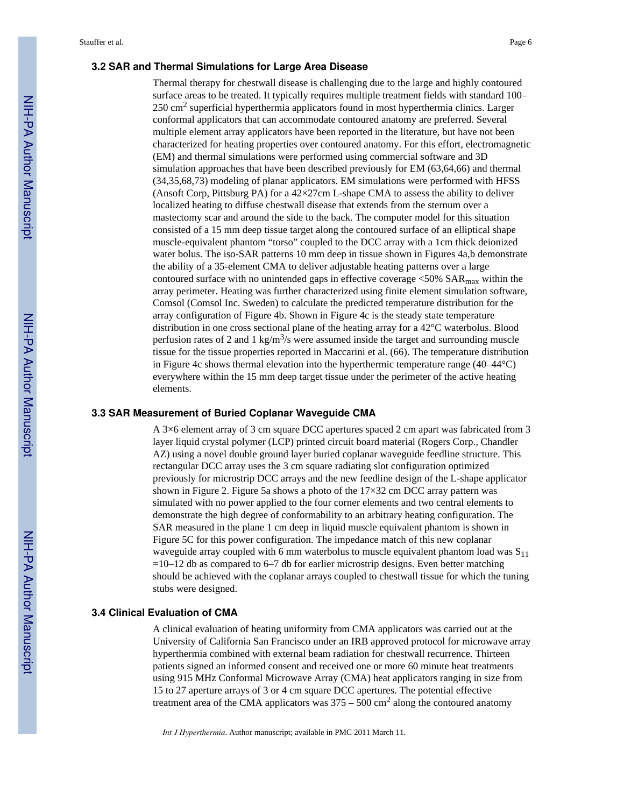#### **3.2 SAR and Thermal Simulations for Large Area Disease**

Thermal therapy for chestwall disease is challenging due to the large and highly contoured surface areas to be treated. It typically requires multiple treatment fields with standard 100–  $250 \text{ cm}^2$  superficial hyperthermia applicators found in most hyperthermia clinics. Larger conformal applicators that can accommodate contoured anatomy are preferred. Several multiple element array applicators have been reported in the literature, but have not been characterized for heating properties over contoured anatomy. For this effort, electromagnetic (EM) and thermal simulations were performed using commercial software and 3D simulation approaches that have been described previously for EM (63,64,66) and thermal (34,35,68,73) modeling of planar applicators. EM simulations were performed with HFSS (Ansoft Corp, Pittsburg PA) for a  $42 \times 27$ cm L-shape CMA to assess the ability to deliver localized heating to diffuse chestwall disease that extends from the sternum over a mastectomy scar and around the side to the back. The computer model for this situation consisted of a 15 mm deep tissue target along the contoured surface of an elliptical shape muscle-equivalent phantom "torso" coupled to the DCC array with a 1cm thick deionized water bolus. The iso-SAR patterns 10 mm deep in tissue shown in Figures 4a,b demonstrate the ability of a 35-element CMA to deliver adjustable heating patterns over a large contoured surface with no unintended gaps in effective coverage  $\leq$ 50% SAR $_{\text{max}}$  within the array perimeter. Heating was further characterized using finite element simulation software, Comsol (Comsol Inc. Sweden) to calculate the predicted temperature distribution for the array configuration of Figure 4b. Shown in Figure 4c is the steady state temperature distribution in one cross sectional plane of the heating array for a 42°C waterbolus. Blood perfusion rates of 2 and 1 kg/m<sup>3</sup>/s were assumed inside the target and surrounding muscle tissue for the tissue properties reported in Maccarini et al. (66). The temperature distribution in Figure 4c shows thermal elevation into the hyperthermic temperature range (40–44°C) everywhere within the 15 mm deep target tissue under the perimeter of the active heating elements.

#### **3.3 SAR Measurement of Buried Coplanar Waveguide CMA**

A 3×6 element array of 3 cm square DCC apertures spaced 2 cm apart was fabricated from 3 layer liquid crystal polymer (LCP) printed circuit board material (Rogers Corp., Chandler AZ) using a novel double ground layer buried coplanar waveguide feedline structure. This rectangular DCC array uses the 3 cm square radiating slot configuration optimized previously for microstrip DCC arrays and the new feedline design of the L-shape applicator shown in Figure 2. Figure 5a shows a photo of the  $17\times32$  cm DCC array pattern was simulated with no power applied to the four corner elements and two central elements to demonstrate the high degree of conformability to an arbitrary heating configuration. The SAR measured in the plane 1 cm deep in liquid muscle equivalent phantom is shown in Figure 5C for this power configuration. The impedance match of this new coplanar waveguide array coupled with 6 mm waterbolus to muscle equivalent phantom load was  $S_{11}$  $=10-12$  db as compared to 6–7 db for earlier microstrip designs. Even better matching should be achieved with the coplanar arrays coupled to chestwall tissue for which the tuning stubs were designed.

#### **3.4 Clinical Evaluation of CMA**

A clinical evaluation of heating uniformity from CMA applicators was carried out at the University of California San Francisco under an IRB approved protocol for microwave array hyperthermia combined with external beam radiation for chestwall recurrence. Thirteen patients signed an informed consent and received one or more 60 minute heat treatments using 915 MHz Conformal Microwave Array (CMA) heat applicators ranging in size from 15 to 27 aperture arrays of 3 or 4 cm square DCC apertures. The potential effective treatment area of the CMA applicators was  $375 - 500$  cm<sup>2</sup> along the contoured anatomy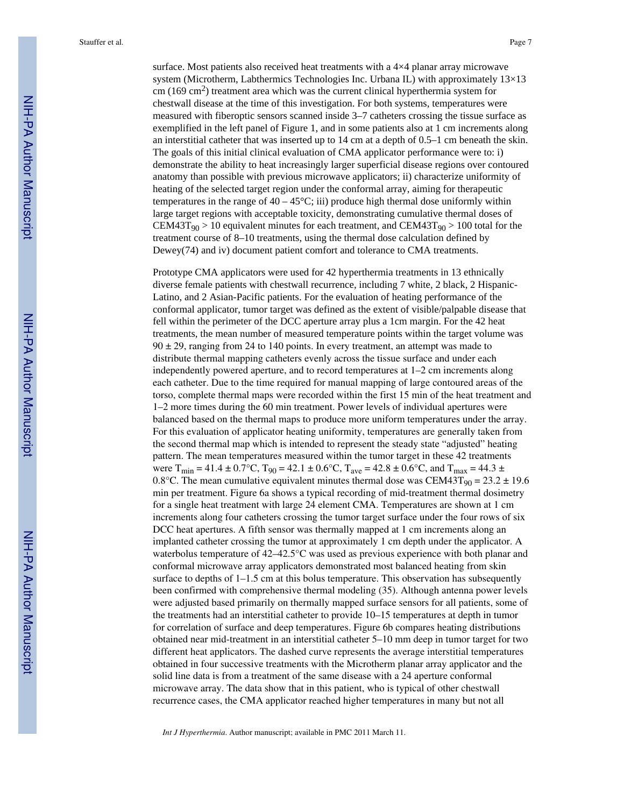surface. Most patients also received heat treatments with a  $4\times4$  planar array microwave system (Microtherm, Labthermics Technologies Inc. Urbana IL) with approximately 13×13 cm  $(169 \text{ cm}^2)$  treatment area which was the current clinical hyperthermia system for chestwall disease at the time of this investigation. For both systems, temperatures were measured with fiberoptic sensors scanned inside 3–7 catheters crossing the tissue surface as exemplified in the left panel of Figure 1, and in some patients also at 1 cm increments along an interstitial catheter that was inserted up to 14 cm at a depth of 0.5–1 cm beneath the skin. The goals of this initial clinical evaluation of CMA applicator performance were to: i) demonstrate the ability to heat increasingly larger superficial disease regions over contoured anatomy than possible with previous microwave applicators; ii) characterize uniformity of heating of the selected target region under the conformal array, aiming for therapeutic temperatures in the range of  $40 - 45^{\circ}$ C; iii) produce high thermal dose uniformly within large target regions with acceptable toxicity, demonstrating cumulative thermal doses of  $CEM43T_{90} > 10$  equivalent minutes for each treatment, and  $CEM43T_{90} > 100$  total for the treatment course of 8–10 treatments, using the thermal dose calculation defined by Dewey(74) and iv) document patient comfort and tolerance to CMA treatments.

Prototype CMA applicators were used for 42 hyperthermia treatments in 13 ethnically diverse female patients with chestwall recurrence, including 7 white, 2 black, 2 Hispanic-Latino, and 2 Asian-Pacific patients. For the evaluation of heating performance of the conformal applicator, tumor target was defined as the extent of visible/palpable disease that fell within the perimeter of the DCC aperture array plus a 1cm margin. For the 42 heat treatments, the mean number of measured temperature points within the target volume was  $90 \pm 29$ , ranging from 24 to 140 points. In every treatment, an attempt was made to distribute thermal mapping catheters evenly across the tissue surface and under each independently powered aperture, and to record temperatures at 1–2 cm increments along each catheter. Due to the time required for manual mapping of large contoured areas of the torso, complete thermal maps were recorded within the first 15 min of the heat treatment and 1–2 more times during the 60 min treatment. Power levels of individual apertures were balanced based on the thermal maps to produce more uniform temperatures under the array. For this evaluation of applicator heating uniformity, temperatures are generally taken from the second thermal map which is intended to represent the steady state "adjusted" heating pattern. The mean temperatures measured within the tumor target in these 42 treatments were T<sub>min</sub> = 41.4 ± 0.7°C, T<sub>90</sub> = 42.1 ± 0.6°C, T<sub>ave</sub> = 42.8 ± 0.6°C, and T<sub>max</sub> = 44.3 ± 0.8°C. The mean cumulative equivalent minutes thermal dose was CEM43T<sub>90</sub> = 23.2  $\pm$  19.6 min per treatment. Figure 6a shows a typical recording of mid-treatment thermal dosimetry for a single heat treatment with large 24 element CMA. Temperatures are shown at 1 cm increments along four catheters crossing the tumor target surface under the four rows of six DCC heat apertures. A fifth sensor was thermally mapped at 1 cm increments along an implanted catheter crossing the tumor at approximately 1 cm depth under the applicator. A waterbolus temperature of 42–42.5°C was used as previous experience with both planar and conformal microwave array applicators demonstrated most balanced heating from skin surface to depths of  $1-1.5$  cm at this bolus temperature. This observation has subsequently been confirmed with comprehensive thermal modeling (35). Although antenna power levels were adjusted based primarily on thermally mapped surface sensors for all patients, some of the treatments had an interstitial catheter to provide 10–15 temperatures at depth in tumor for correlation of surface and deep temperatures. Figure 6b compares heating distributions obtained near mid-treatment in an interstitial catheter 5–10 mm deep in tumor target for two different heat applicators. The dashed curve represents the average interstitial temperatures obtained in four successive treatments with the Microtherm planar array applicator and the solid line data is from a treatment of the same disease with a 24 aperture conformal microwave array. The data show that in this patient, who is typical of other chestwall recurrence cases, the CMA applicator reached higher temperatures in many but not all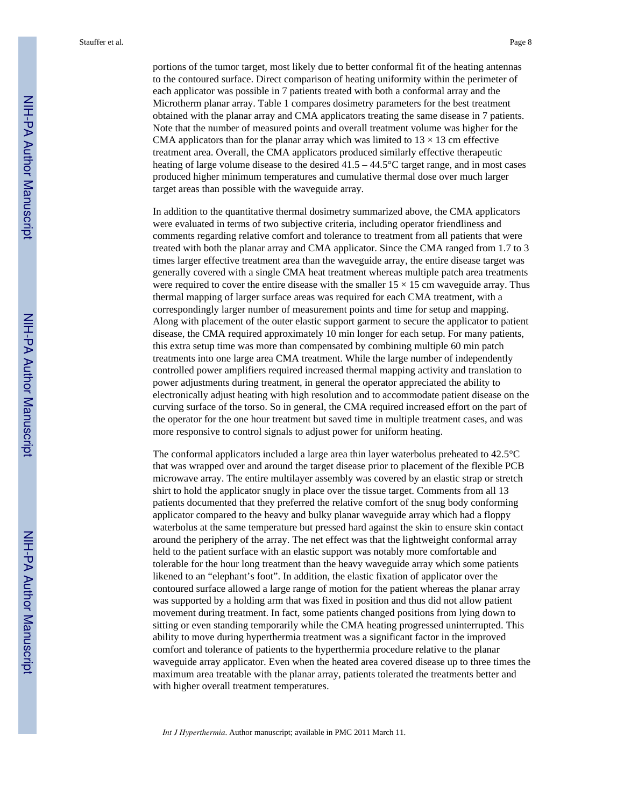portions of the tumor target, most likely due to better conformal fit of the heating antennas to the contoured surface. Direct comparison of heating uniformity within the perimeter of each applicator was possible in 7 patients treated with both a conformal array and the Microtherm planar array. Table 1 compares dosimetry parameters for the best treatment obtained with the planar array and CMA applicators treating the same disease in 7 patients. Note that the number of measured points and overall treatment volume was higher for the CMA applicators than for the planar array which was limited to  $13 \times 13$  cm effective treatment area. Overall, the CMA applicators produced similarly effective therapeutic heating of large volume disease to the desired  $41.5 - 44.5^{\circ}$ C target range, and in most cases produced higher minimum temperatures and cumulative thermal dose over much larger target areas than possible with the waveguide array.

In addition to the quantitative thermal dosimetry summarized above, the CMA applicators were evaluated in terms of two subjective criteria, including operator friendliness and comments regarding relative comfort and tolerance to treatment from all patients that were treated with both the planar array and CMA applicator. Since the CMA ranged from 1.7 to 3 times larger effective treatment area than the waveguide array, the entire disease target was generally covered with a single CMA heat treatment whereas multiple patch area treatments were required to cover the entire disease with the smaller  $15 \times 15$  cm waveguide array. Thus thermal mapping of larger surface areas was required for each CMA treatment, with a correspondingly larger number of measurement points and time for setup and mapping. Along with placement of the outer elastic support garment to secure the applicator to patient disease, the CMA required approximately 10 min longer for each setup. For many patients, this extra setup time was more than compensated by combining multiple 60 min patch treatments into one large area CMA treatment. While the large number of independently controlled power amplifiers required increased thermal mapping activity and translation to power adjustments during treatment, in general the operator appreciated the ability to electronically adjust heating with high resolution and to accommodate patient disease on the curving surface of the torso. So in general, the CMA required increased effort on the part of the operator for the one hour treatment but saved time in multiple treatment cases, and was more responsive to control signals to adjust power for uniform heating.

The conformal applicators included a large area thin layer waterbolus preheated to 42.5°C that was wrapped over and around the target disease prior to placement of the flexible PCB microwave array. The entire multilayer assembly was covered by an elastic strap or stretch shirt to hold the applicator snugly in place over the tissue target. Comments from all 13 patients documented that they preferred the relative comfort of the snug body conforming applicator compared to the heavy and bulky planar waveguide array which had a floppy waterbolus at the same temperature but pressed hard against the skin to ensure skin contact around the periphery of the array. The net effect was that the lightweight conformal array held to the patient surface with an elastic support was notably more comfortable and tolerable for the hour long treatment than the heavy waveguide array which some patients likened to an "elephant's foot". In addition, the elastic fixation of applicator over the contoured surface allowed a large range of motion for the patient whereas the planar array was supported by a holding arm that was fixed in position and thus did not allow patient movement during treatment. In fact, some patients changed positions from lying down to sitting or even standing temporarily while the CMA heating progressed uninterrupted. This ability to move during hyperthermia treatment was a significant factor in the improved comfort and tolerance of patients to the hyperthermia procedure relative to the planar waveguide array applicator. Even when the heated area covered disease up to three times the maximum area treatable with the planar array, patients tolerated the treatments better and with higher overall treatment temperatures.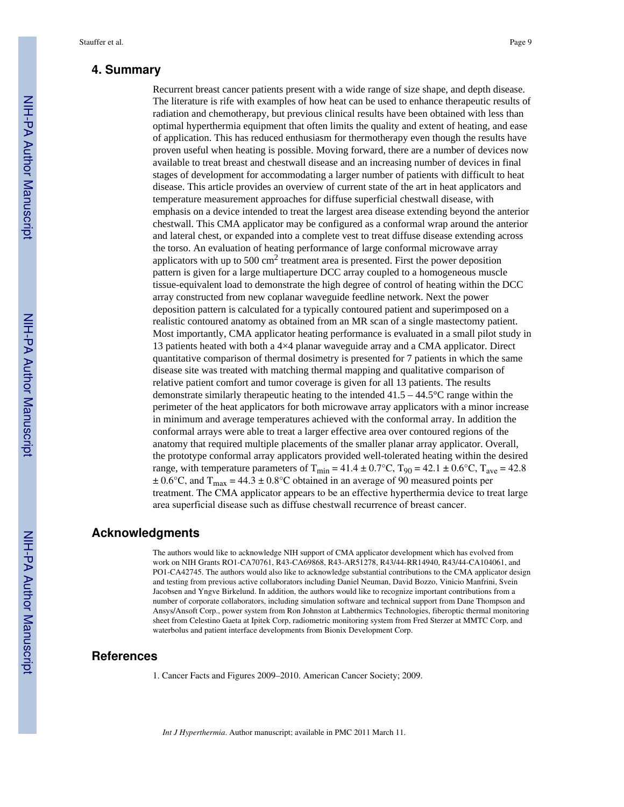# **4. Summary**

Recurrent breast cancer patients present with a wide range of size shape, and depth disease. The literature is rife with examples of how heat can be used to enhance therapeutic results of radiation and chemotherapy, but previous clinical results have been obtained with less than optimal hyperthermia equipment that often limits the quality and extent of heating, and ease of application. This has reduced enthusiasm for thermotherapy even though the results have proven useful when heating is possible. Moving forward, there are a number of devices now available to treat breast and chestwall disease and an increasing number of devices in final stages of development for accommodating a larger number of patients with difficult to heat disease. This article provides an overview of current state of the art in heat applicators and temperature measurement approaches for diffuse superficial chestwall disease, with emphasis on a device intended to treat the largest area disease extending beyond the anterior chestwall. This CMA applicator may be configured as a conformal wrap around the anterior and lateral chest, or expanded into a complete vest to treat diffuse disease extending across the torso. An evaluation of heating performance of large conformal microwave array applicators with up to 500 cm<sup>2</sup> treatment area is presented. First the power deposition pattern is given for a large multiaperture DCC array coupled to a homogeneous muscle tissue-equivalent load to demonstrate the high degree of control of heating within the DCC array constructed from new coplanar waveguide feedline network. Next the power deposition pattern is calculated for a typically contoured patient and superimposed on a realistic contoured anatomy as obtained from an MR scan of a single mastectomy patient. Most importantly, CMA applicator heating performance is evaluated in a small pilot study in 13 patients heated with both a 4×4 planar waveguide array and a CMA applicator. Direct quantitative comparison of thermal dosimetry is presented for 7 patients in which the same disease site was treated with matching thermal mapping and qualitative comparison of relative patient comfort and tumor coverage is given for all 13 patients. The results demonstrate similarly therapeutic heating to the intended  $41.5 - 44.5^{\circ}$ C range within the perimeter of the heat applicators for both microwave array applicators with a minor increase in minimum and average temperatures achieved with the conformal array. In addition the conformal arrays were able to treat a larger effective area over contoured regions of the anatomy that required multiple placements of the smaller planar array applicator. Overall, the prototype conformal array applicators provided well-tolerated heating within the desired range, with temperature parameters of  $T_{\text{min}} = 41.4 \pm 0.7$ °C,  $T_{90} = 42.1 \pm 0.6$ °C,  $T_{\text{ave}} = 42.8$  $\pm 0.6$ °C, and T<sub>max</sub> = 44.3  $\pm 0.8$ °C obtained in an average of 90 measured points per treatment. The CMA applicator appears to be an effective hyperthermia device to treat large area superficial disease such as diffuse chestwall recurrence of breast cancer.

#### **Acknowledgments**

The authors would like to acknowledge NIH support of CMA applicator development which has evolved from work on NIH Grants RO1-CA70761, R43-CA69868, R43-AR51278, R43/44-RR14940, R43/44-CA104061, and PO1-CA42745. The authors would also like to acknowledge substantial contributions to the CMA applicator design and testing from previous active collaborators including Daniel Neuman, David Bozzo, Vinicio Manfrini, Svein Jacobsen and Yngve Birkelund. In addition, the authors would like to recognize important contributions from a number of corporate collaborators, including simulation software and technical support from Dane Thompson and Ansys/Ansoft Corp., power system from Ron Johnston at Labthermics Technologies, fiberoptic thermal monitoring sheet from Celestino Gaeta at Ipitek Corp, radiometric monitoring system from Fred Sterzer at MMTC Corp, and waterbolus and patient interface developments from Bionix Development Corp.

#### **References**

1. Cancer Facts and Figures 2009–2010. American Cancer Society; 2009.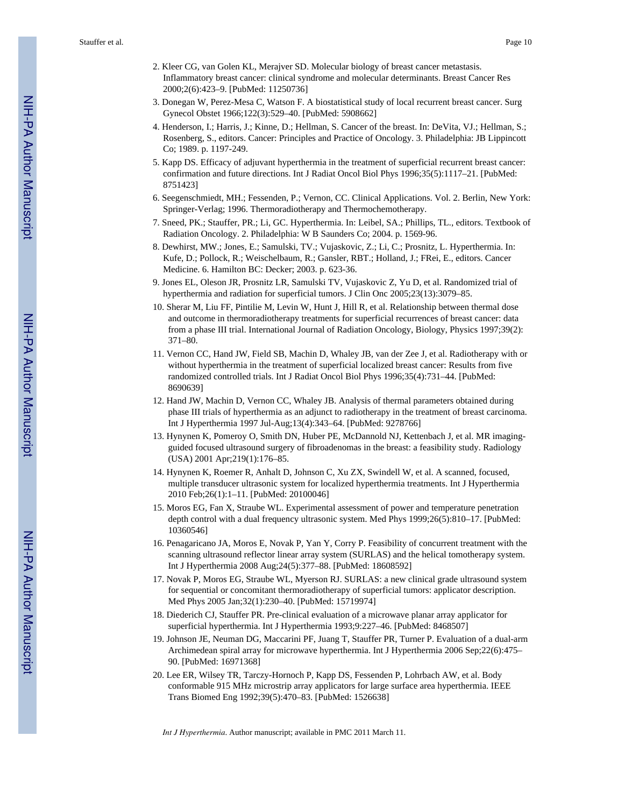- 2. Kleer CG, van Golen KL, Merajver SD. Molecular biology of breast cancer metastasis. Inflammatory breast cancer: clinical syndrome and molecular determinants. Breast Cancer Res 2000;2(6):423–9. [PubMed: 11250736]
- 3. Donegan W, Perez-Mesa C, Watson F. A biostatistical study of local recurrent breast cancer. Surg Gynecol Obstet 1966;122(3):529–40. [PubMed: 5908662]
- 4. Henderson, I.; Harris, J.; Kinne, D.; Hellman, S. Cancer of the breast. In: DeVita, VJ.; Hellman, S.; Rosenberg, S., editors. Cancer: Principles and Practice of Oncology. 3. Philadelphia: JB Lippincott Co; 1989. p. 1197-249.
- 5. Kapp DS. Efficacy of adjuvant hyperthermia in the treatment of superficial recurrent breast cancer: confirmation and future directions. Int J Radiat Oncol Biol Phys 1996;35(5):1117–21. [PubMed: 8751423]
- 6. Seegenschmiedt, MH.; Fessenden, P.; Vernon, CC. Clinical Applications. Vol. 2. Berlin, New York: Springer-Verlag; 1996. Thermoradiotherapy and Thermochemotherapy.
- 7. Sneed, PK.; Stauffer, PR.; Li, GC. Hyperthermia. In: Leibel, SA.; Phillips, TL., editors. Textbook of Radiation Oncology. 2. Philadelphia: W B Saunders Co; 2004. p. 1569-96.
- 8. Dewhirst, MW.; Jones, E.; Samulski, TV.; Vujaskovic, Z.; Li, C.; Prosnitz, L. Hyperthermia. In: Kufe, D.; Pollock, R.; Weischelbaum, R.; Gansler, RBT.; Holland, J.; FRei, E., editors. Cancer Medicine. 6. Hamilton BC: Decker; 2003. p. 623-36.
- 9. Jones EL, Oleson JR, Prosnitz LR, Samulski TV, Vujaskovic Z, Yu D, et al. Randomized trial of hyperthermia and radiation for superficial tumors. J Clin Onc 2005;23(13):3079–85.
- 10. Sherar M, Liu FF, Pintilie M, Levin W, Hunt J, Hill R, et al. Relationship between thermal dose and outcome in thermoradiotherapy treatments for superficial recurrences of breast cancer: data from a phase III trial. International Journal of Radiation Oncology, Biology, Physics 1997;39(2): 371–80.
- 11. Vernon CC, Hand JW, Field SB, Machin D, Whaley JB, van der Zee J, et al. Radiotherapy with or without hyperthermia in the treatment of superficial localized breast cancer: Results from five randomized controlled trials. Int J Radiat Oncol Biol Phys 1996;35(4):731–44. [PubMed: 8690639]
- 12. Hand JW, Machin D, Vernon CC, Whaley JB. Analysis of thermal parameters obtained during phase III trials of hyperthermia as an adjunct to radiotherapy in the treatment of breast carcinoma. Int J Hyperthermia 1997 Jul-Aug;13(4):343–64. [PubMed: 9278766]
- 13. Hynynen K, Pomeroy O, Smith DN, Huber PE, McDannold NJ, Kettenbach J, et al. MR imagingguided focused ultrasound surgery of fibroadenomas in the breast: a feasibility study. Radiology (USA) 2001 Apr;219(1):176–85.
- 14. Hynynen K, Roemer R, Anhalt D, Johnson C, Xu ZX, Swindell W, et al. A scanned, focused, multiple transducer ultrasonic system for localized hyperthermia treatments. Int J Hyperthermia 2010 Feb;26(1):1–11. [PubMed: 20100046]
- 15. Moros EG, Fan X, Straube WL. Experimental assessment of power and temperature penetration depth control with a dual frequency ultrasonic system. Med Phys 1999;26(5):810–17. [PubMed: 10360546]
- 16. Penagaricano JA, Moros E, Novak P, Yan Y, Corry P. Feasibility of concurrent treatment with the scanning ultrasound reflector linear array system (SURLAS) and the helical tomotherapy system. Int J Hyperthermia 2008 Aug;24(5):377–88. [PubMed: 18608592]
- 17. Novak P, Moros EG, Straube WL, Myerson RJ. SURLAS: a new clinical grade ultrasound system for sequential or concomitant thermoradiotherapy of superficial tumors: applicator description. Med Phys 2005 Jan;32(1):230–40. [PubMed: 15719974]
- 18. Diederich CJ, Stauffer PR. Pre-clinical evaluation of a microwave planar array applicator for superficial hyperthermia. Int J Hyperthermia 1993;9:227–46. [PubMed: 8468507]
- 19. Johnson JE, Neuman DG, Maccarini PF, Juang T, Stauffer PR, Turner P. Evaluation of a dual-arm Archimedean spiral array for microwave hyperthermia. Int J Hyperthermia 2006 Sep;22(6):475– 90. [PubMed: 16971368]
- 20. Lee ER, Wilsey TR, Tarczy-Hornoch P, Kapp DS, Fessenden P, Lohrbach AW, et al. Body conformable 915 MHz microstrip array applicators for large surface area hyperthermia. IEEE Trans Biomed Eng 1992;39(5):470–83. [PubMed: 1526638]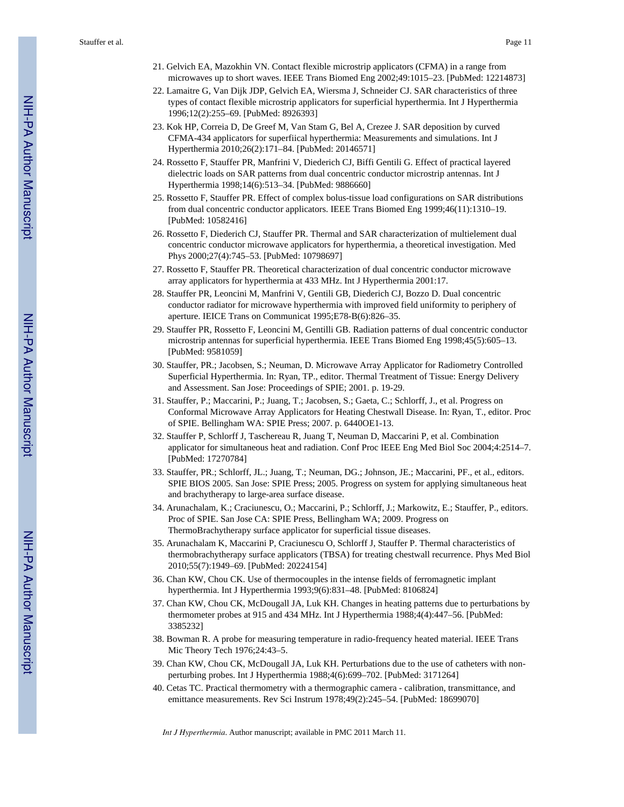- 21. Gelvich EA, Mazokhin VN. Contact flexible microstrip applicators (CFMA) in a range from microwaves up to short waves. IEEE Trans Biomed Eng 2002;49:1015–23. [PubMed: 12214873]
- 22. Lamaitre G, Van Dijk JDP, Gelvich EA, Wiersma J, Schneider CJ. SAR characteristics of three types of contact flexible microstrip applicators for superficial hyperthermia. Int J Hyperthermia 1996;12(2):255–69. [PubMed: 8926393]
- 23. Kok HP, Correia D, De Greef M, Van Stam G, Bel A, Crezee J. SAR deposition by curved CFMA-434 applicators for superfiical hyperthermia: Measurements and simulations. Int J Hyperthermia 2010;26(2):171–84. [PubMed: 20146571]
- 24. Rossetto F, Stauffer PR, Manfrini V, Diederich CJ, Biffi Gentili G. Effect of practical layered dielectric loads on SAR patterns from dual concentric conductor microstrip antennas. Int J Hyperthermia 1998;14(6):513–34. [PubMed: 9886660]
- 25. Rossetto F, Stauffer PR. Effect of complex bolus-tissue load configurations on SAR distributions from dual concentric conductor applicators. IEEE Trans Biomed Eng 1999;46(11):1310–19. [PubMed: 10582416]
- 26. Rossetto F, Diederich CJ, Stauffer PR. Thermal and SAR characterization of multielement dual concentric conductor microwave applicators for hyperthermia, a theoretical investigation. Med Phys 2000;27(4):745–53. [PubMed: 10798697]
- 27. Rossetto F, Stauffer PR. Theoretical characterization of dual concentric conductor microwave array applicators for hyperthermia at 433 MHz. Int J Hyperthermia 2001:17.
- 28. Stauffer PR, Leoncini M, Manfrini V, Gentili GB, Diederich CJ, Bozzo D. Dual concentric conductor radiator for microwave hyperthermia with improved field uniformity to periphery of aperture. IEICE Trans on Communicat 1995;E78-B(6):826–35.
- 29. Stauffer PR, Rossetto F, Leoncini M, Gentilli GB. Radiation patterns of dual concentric conductor microstrip antennas for superficial hyperthermia. IEEE Trans Biomed Eng 1998;45(5):605–13. [PubMed: 9581059]
- 30. Stauffer, PR.; Jacobsen, S.; Neuman, D. Microwave Array Applicator for Radiometry Controlled Superficial Hyperthermia. In: Ryan, TP., editor. Thermal Treatment of Tissue: Energy Delivery and Assessment. San Jose: Proceedings of SPIE; 2001. p. 19-29.
- 31. Stauffer, P.; Maccarini, P.; Juang, T.; Jacobsen, S.; Gaeta, C.; Schlorff, J., et al. Progress on Conformal Microwave Array Applicators for Heating Chestwall Disease. In: Ryan, T., editor. Proc of SPIE. Bellingham WA: SPIE Press; 2007. p. 6440OE1-13.
- 32. Stauffer P, Schlorff J, Taschereau R, Juang T, Neuman D, Maccarini P, et al. Combination applicator for simultaneous heat and radiation. Conf Proc IEEE Eng Med Biol Soc 2004;4:2514–7. [PubMed: 17270784]
- 33. Stauffer, PR.; Schlorff, JL.; Juang, T.; Neuman, DG.; Johnson, JE.; Maccarini, PF., et al., editors. SPIE BIOS 2005. San Jose: SPIE Press; 2005. Progress on system for applying simultaneous heat and brachytherapy to large-area surface disease.
- 34. Arunachalam, K.; Craciunescu, O.; Maccarini, P.; Schlorff, J.; Markowitz, E.; Stauffer, P., editors. Proc of SPIE. San Jose CA: SPIE Press, Bellingham WA; 2009. Progress on ThermoBrachytherapy surface applicator for superficial tissue diseases.
- 35. Arunachalam K, Maccarini P, Craciunescu O, Schlorff J, Stauffer P. Thermal characteristics of thermobrachytherapy surface applicators (TBSA) for treating chestwall recurrence. Phys Med Biol 2010;55(7):1949–69. [PubMed: 20224154]
- 36. Chan KW, Chou CK. Use of thermocouples in the intense fields of ferromagnetic implant hyperthermia. Int J Hyperthermia 1993;9(6):831–48. [PubMed: 8106824]
- 37. Chan KW, Chou CK, McDougall JA, Luk KH. Changes in heating patterns due to perturbations by thermometer probes at 915 and 434 MHz. Int J Hyperthermia 1988;4(4):447–56. [PubMed: 3385232]
- 38. Bowman R. A probe for measuring temperature in radio-frequency heated material. IEEE Trans Mic Theory Tech 1976;24:43–5.
- 39. Chan KW, Chou CK, McDougall JA, Luk KH. Perturbations due to the use of catheters with nonperturbing probes. Int J Hyperthermia 1988;4(6):699–702. [PubMed: 3171264]
- 40. Cetas TC. Practical thermometry with a thermographic camera calibration, transmittance, and emittance measurements. Rev Sci Instrum 1978;49(2):245–54. [PubMed: 18699070]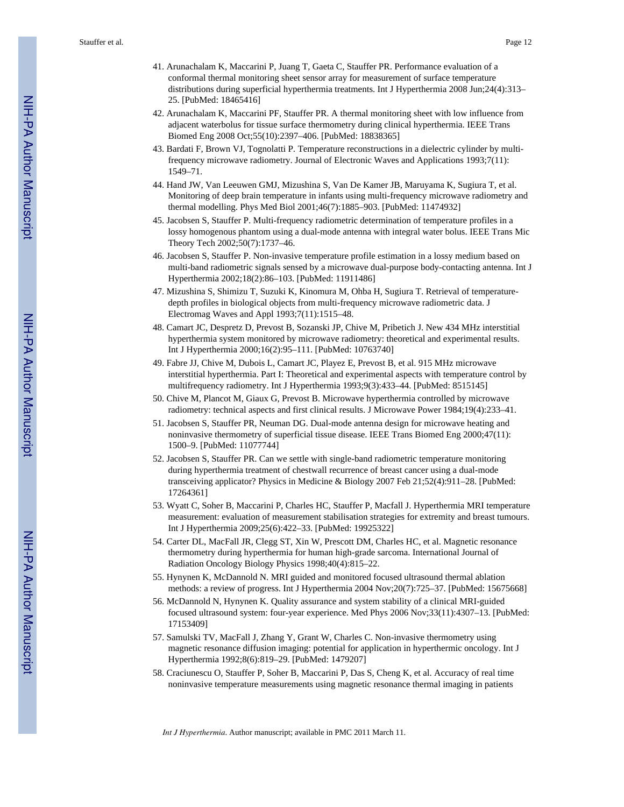- 41. Arunachalam K, Maccarini P, Juang T, Gaeta C, Stauffer PR. Performance evaluation of a conformal thermal monitoring sheet sensor array for measurement of surface temperature distributions during superficial hyperthermia treatments. Int J Hyperthermia 2008 Jun;24(4):313– 25. [PubMed: 18465416]
- 42. Arunachalam K, Maccarini PF, Stauffer PR. A thermal monitoring sheet with low influence from adjacent waterbolus for tissue surface thermometry during clinical hyperthermia. IEEE Trans Biomed Eng 2008 Oct;55(10):2397–406. [PubMed: 18838365]
- 43. Bardati F, Brown VJ, Tognolatti P. Temperature reconstructions in a dielectric cylinder by multifrequency microwave radiometry. Journal of Electronic Waves and Applications 1993;7(11): 1549–71.
- 44. Hand JW, Van Leeuwen GMJ, Mizushina S, Van De Kamer JB, Maruyama K, Sugiura T, et al. Monitoring of deep brain temperature in infants using multi-frequency microwave radiometry and thermal modelling. Phys Med Biol 2001;46(7):1885–903. [PubMed: 11474932]
- 45. Jacobsen S, Stauffer P. Multi-frequency radiometric determination of temperature profiles in a lossy homogenous phantom using a dual-mode antenna with integral water bolus. IEEE Trans Mic Theory Tech 2002;50(7):1737–46.
- 46. Jacobsen S, Stauffer P. Non-invasive temperature profile estimation in a lossy medium based on multi-band radiometric signals sensed by a microwave dual-purpose body-contacting antenna. Int J Hyperthermia 2002;18(2):86–103. [PubMed: 11911486]
- 47. Mizushina S, Shimizu T, Suzuki K, Kinomura M, Ohba H, Sugiura T. Retrieval of temperaturedepth profiles in biological objects from multi-frequency microwave radiometric data. J Electromag Waves and Appl 1993;7(11):1515–48.
- 48. Camart JC, Despretz D, Prevost B, Sozanski JP, Chive M, Pribetich J. New 434 MHz interstitial hyperthermia system monitored by microwave radiometry: theoretical and experimental results. Int J Hyperthermia 2000;16(2):95–111. [PubMed: 10763740]
- 49. Fabre JJ, Chive M, Dubois L, Camart JC, Playez E, Prevost B, et al. 915 MHz microwave interstitial hyperthermia. Part I: Theoretical and experimental aspects with temperature control by multifrequency radiometry. Int J Hyperthermia 1993;9(3):433–44. [PubMed: 8515145]
- 50. Chive M, Plancot M, Giaux G, Prevost B. Microwave hyperthermia controlled by microwave radiometry: technical aspects and first clinical results. J Microwave Power 1984;19(4):233–41.
- 51. Jacobsen S, Stauffer PR, Neuman DG. Dual-mode antenna design for microwave heating and noninvasive thermometry of superficial tissue disease. IEEE Trans Biomed Eng 2000;47(11): 1500–9. [PubMed: 11077744]
- 52. Jacobsen S, Stauffer PR. Can we settle with single-band radiometric temperature monitoring during hyperthermia treatment of chestwall recurrence of breast cancer using a dual-mode transceiving applicator? Physics in Medicine & Biology 2007 Feb 21;52(4):911–28. [PubMed: 17264361]
- 53. Wyatt C, Soher B, Maccarini P, Charles HC, Stauffer P, Macfall J. Hyperthermia MRI temperature measurement: evaluation of measurement stabilisation strategies for extremity and breast tumours. Int J Hyperthermia 2009;25(6):422–33. [PubMed: 19925322]
- 54. Carter DL, MacFall JR, Clegg ST, Xin W, Prescott DM, Charles HC, et al. Magnetic resonance thermometry during hyperthermia for human high-grade sarcoma. International Journal of Radiation Oncology Biology Physics 1998;40(4):815–22.
- 55. Hynynen K, McDannold N. MRI guided and monitored focused ultrasound thermal ablation methods: a review of progress. Int J Hyperthermia 2004 Nov;20(7):725–37. [PubMed: 15675668]
- 56. McDannold N, Hynynen K. Quality assurance and system stability of a clinical MRI-guided focused ultrasound system: four-year experience. Med Phys 2006 Nov;33(11):4307–13. [PubMed: 17153409]
- 57. Samulski TV, MacFall J, Zhang Y, Grant W, Charles C. Non-invasive thermometry using magnetic resonance diffusion imaging: potential for application in hyperthermic oncology. Int J Hyperthermia 1992;8(6):819–29. [PubMed: 1479207]
- 58. Craciunescu O, Stauffer P, Soher B, Maccarini P, Das S, Cheng K, et al. Accuracy of real time noninvasive temperature measurements using magnetic resonance thermal imaging in patients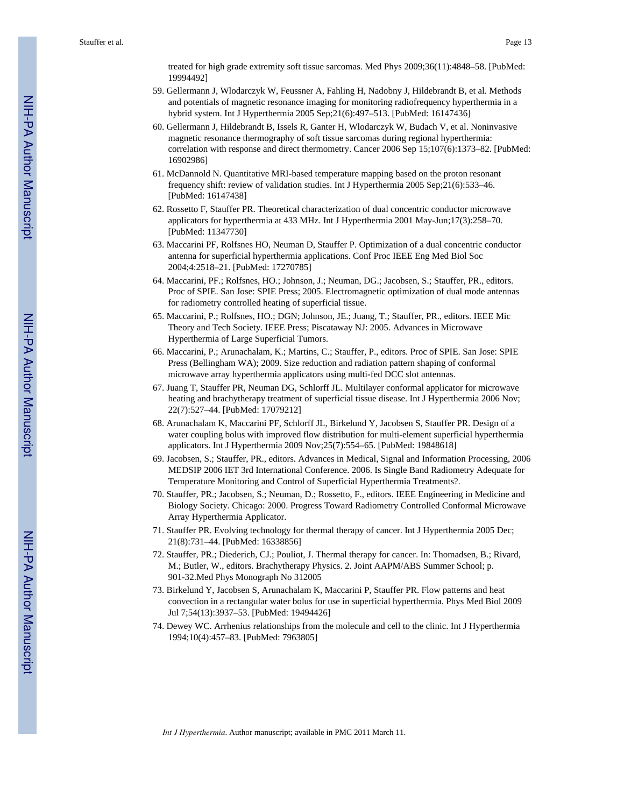treated for high grade extremity soft tissue sarcomas. Med Phys 2009;36(11):4848–58. [PubMed: 19994492]

- 59. Gellermann J, Wlodarczyk W, Feussner A, Fahling H, Nadobny J, Hildebrandt B, et al. Methods and potentials of magnetic resonance imaging for monitoring radiofrequency hyperthermia in a hybrid system. Int J Hyperthermia 2005 Sep;21(6):497–513. [PubMed: 16147436]
- 60. Gellermann J, Hildebrandt B, Issels R, Ganter H, Wlodarczyk W, Budach V, et al. Noninvasive magnetic resonance thermography of soft tissue sarcomas during regional hyperthermia: correlation with response and direct thermometry. Cancer 2006 Sep 15;107(6):1373–82. [PubMed: 16902986]
- 61. McDannold N. Quantitative MRI-based temperature mapping based on the proton resonant frequency shift: review of validation studies. Int J Hyperthermia 2005 Sep;21(6):533–46. [PubMed: 16147438]
- 62. Rossetto F, Stauffer PR. Theoretical characterization of dual concentric conductor microwave applicators for hyperthermia at 433 MHz. Int J Hyperthermia 2001 May-Jun;17(3):258–70. [PubMed: 11347730]
- 63. Maccarini PF, Rolfsnes HO, Neuman D, Stauffer P. Optimization of a dual concentric conductor antenna for superficial hyperthermia applications. Conf Proc IEEE Eng Med Biol Soc 2004;4:2518–21. [PubMed: 17270785]
- 64. Maccarini, PF.; Rolfsnes, HO.; Johnson, J.; Neuman, DG.; Jacobsen, S.; Stauffer, PR., editors. Proc of SPIE. San Jose: SPIE Press; 2005. Electromagnetic optimization of dual mode antennas for radiometry controlled heating of superficial tissue.
- 65. Maccarini, P.; Rolfsnes, HO.; DGN; Johnson, JE.; Juang, T.; Stauffer, PR., editors. IEEE Mic Theory and Tech Society. IEEE Press; Piscataway NJ: 2005. Advances in Microwave Hyperthermia of Large Superficial Tumors.
- 66. Maccarini, P.; Arunachalam, K.; Martins, C.; Stauffer, P., editors. Proc of SPIE. San Jose: SPIE Press (Bellingham WA); 2009. Size reduction and radiation pattern shaping of conformal microwave array hyperthermia applicators using multi-fed DCC slot antennas.
- 67. Juang T, Stauffer PR, Neuman DG, Schlorff JL. Multilayer conformal applicator for microwave heating and brachytherapy treatment of superficial tissue disease. Int J Hyperthermia 2006 Nov; 22(7):527–44. [PubMed: 17079212]
- 68. Arunachalam K, Maccarini PF, Schlorff JL, Birkelund Y, Jacobsen S, Stauffer PR. Design of a water coupling bolus with improved flow distribution for multi-element superficial hyperthermia applicators. Int J Hyperthermia 2009 Nov;25(7):554–65. [PubMed: 19848618]
- 69. Jacobsen, S.; Stauffer, PR., editors. Advances in Medical, Signal and Information Processing, 2006 MEDSIP 2006 IET 3rd International Conference. 2006. Is Single Band Radiometry Adequate for Temperature Monitoring and Control of Superficial Hyperthermia Treatments?.
- 70. Stauffer, PR.; Jacobsen, S.; Neuman, D.; Rossetto, F., editors. IEEE Engineering in Medicine and Biology Society. Chicago: 2000. Progress Toward Radiometry Controlled Conformal Microwave Array Hyperthermia Applicator.
- 71. Stauffer PR. Evolving technology for thermal therapy of cancer. Int J Hyperthermia 2005 Dec; 21(8):731–44. [PubMed: 16338856]
- 72. Stauffer, PR.; Diederich, CJ.; Pouliot, J. Thermal therapy for cancer. In: Thomadsen, B.; Rivard, M.; Butler, W., editors. Brachytherapy Physics. 2. Joint AAPM/ABS Summer School; p. 901-32.Med Phys Monograph No 312005
- 73. Birkelund Y, Jacobsen S, Arunachalam K, Maccarini P, Stauffer PR. Flow patterns and heat convection in a rectangular water bolus for use in superficial hyperthermia. Phys Med Biol 2009 Jul 7;54(13):3937–53. [PubMed: 19494426]
- 74. Dewey WC. Arrhenius relationships from the molecule and cell to the clinic. Int J Hyperthermia 1994;10(4):457–83. [PubMed: 7963805]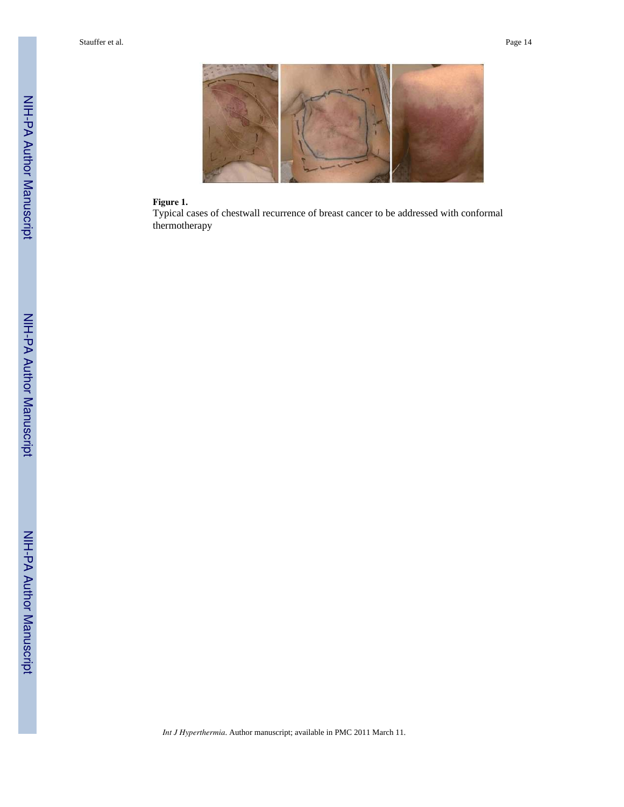

## **Figure 1.**

Typical cases of chestwall recurrence of breast cancer to be addressed with conformal thermotherapy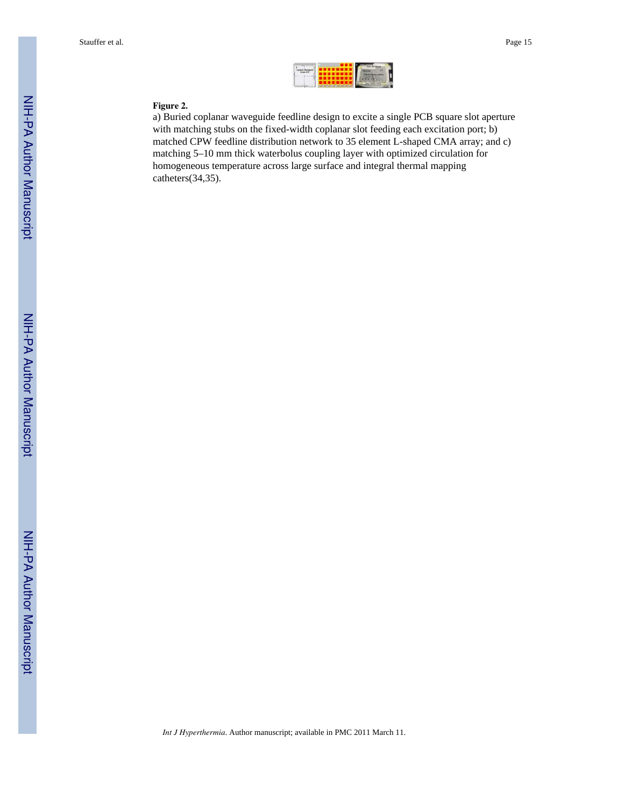#### **Figure 2.**

a) Buried coplanar waveguide feedline design to excite a single PCB square slot aperture with matching stubs on the fixed-width coplanar slot feeding each excitation port; b) matched CPW feedline distribution network to 35 element L-shaped CMA array; and c) matching 5–10 mm thick waterbolus coupling layer with optimized circulation for homogeneous temperature across large surface and integral thermal mapping catheters(34,35).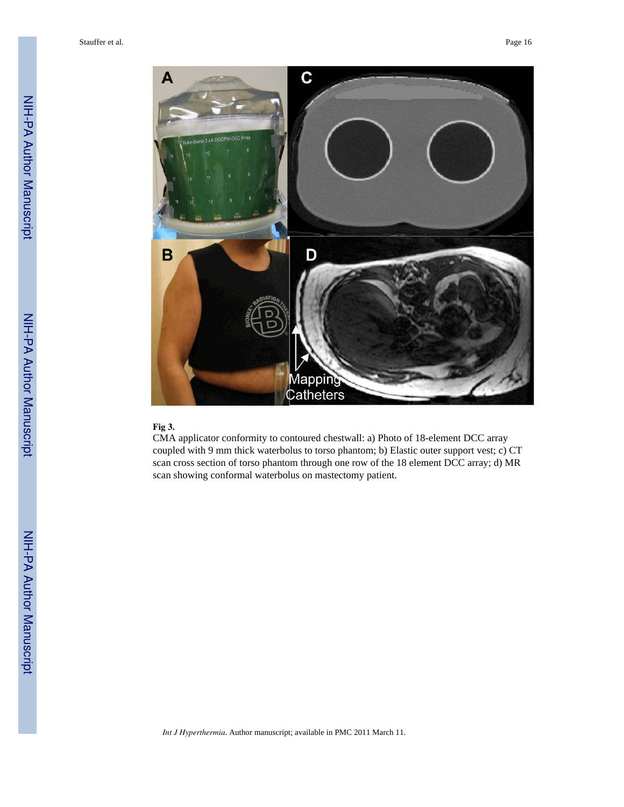

#### **Fig 3.**

CMA applicator conformity to contoured chestwall: a) Photo of 18-element DCC array coupled with 9 mm thick waterbolus to torso phantom; b) Elastic outer support vest; c) CT scan cross section of torso phantom through one row of the 18 element DCC array; d) MR scan showing conformal waterbolus on mastectomy patient.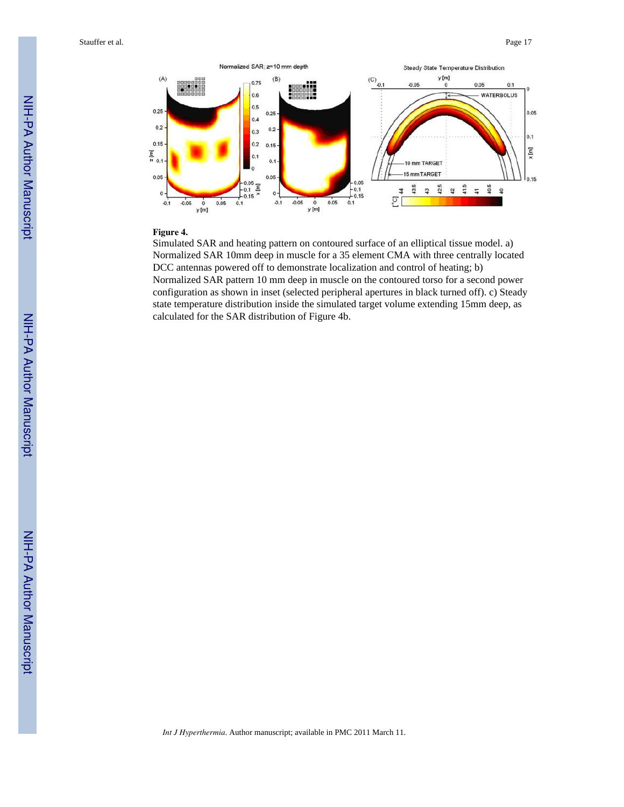

#### **Figure 4.**

Simulated SAR and heating pattern on contoured surface of an elliptical tissue model. a) Normalized SAR 10mm deep in muscle for a 35 element CMA with three centrally located DCC antennas powered off to demonstrate localization and control of heating; b) Normalized SAR pattern 10 mm deep in muscle on the contoured torso for a second power configuration as shown in inset (selected peripheral apertures in black turned off). c) Steady state temperature distribution inside the simulated target volume extending 15mm deep, as calculated for the SAR distribution of Figure 4b.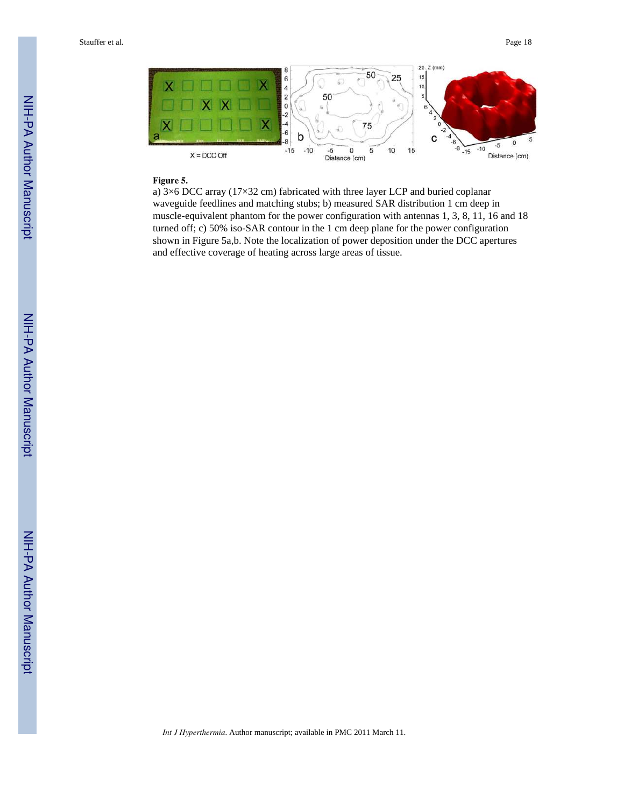

#### **Figure 5.**

a) 3×6 DCC array (17×32 cm) fabricated with three layer LCP and buried coplanar waveguide feedlines and matching stubs; b) measured SAR distribution 1 cm deep in muscle-equivalent phantom for the power configuration with antennas 1, 3, 8, 11, 16 and 18 turned off; c) 50% iso-SAR contour in the 1 cm deep plane for the power configuration shown in Figure 5a,b. Note the localization of power deposition under the DCC apertures and effective coverage of heating across large areas of tissue.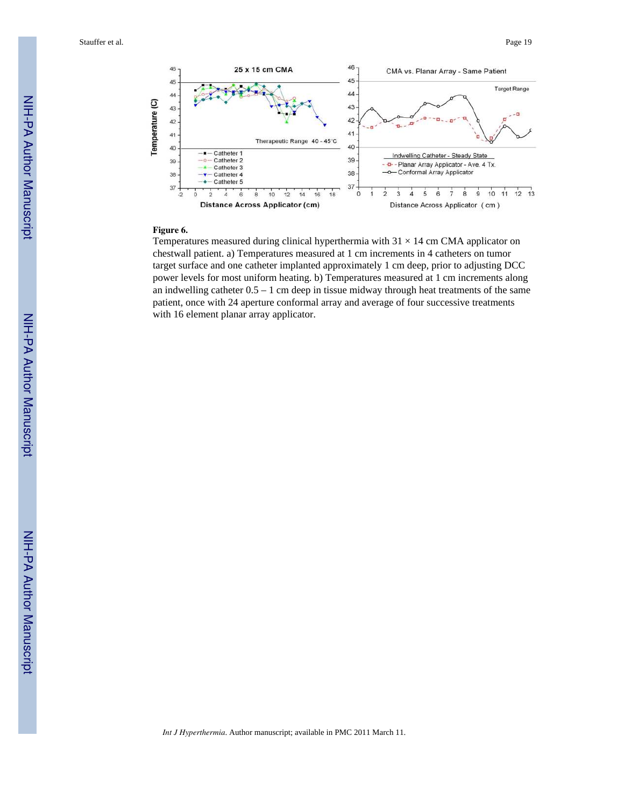

#### **Figure 6.**

Temperatures measured during clinical hyperthermia with  $31 \times 14$  cm CMA applicator on chestwall patient. a) Temperatures measured at 1 cm increments in 4 catheters on tumor target surface and one catheter implanted approximately 1 cm deep, prior to adjusting DCC power levels for most uniform heating. b) Temperatures measured at 1 cm increments along an indwelling catheter  $0.5 - 1$  cm deep in tissue midway through heat treatments of the same patient, once with 24 aperture conformal array and average of four successive treatments with 16 element planar array applicator.